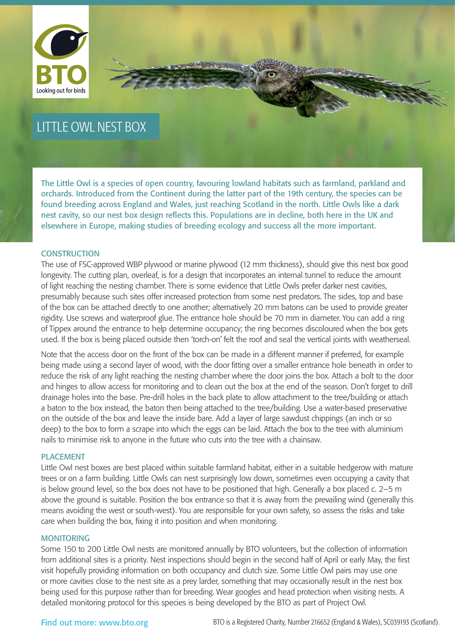

## LITTLE OWL NEST BOX

The Little Owl is a species of open country, favouring lowland habitats such as farmland, parkland and orchards. Introduced from the Continent during the latter part of the 19th century, the species can be found breeding across England and Wales, just reaching Scotland in the north. Little Owls like a dark nest cavity, so our nest box design reflects this. Populations are in decline, both here in the UK and elsewhere in Europe, making studies of breeding ecology and success all the more important.

### **CONSTRUCTION**

The use of FSC-approved WBP plywood or marine plywood (12 mm thickness), should give this nest box good longevity. The cutting plan, overleaf, is for a design that incorporates an internal tunnel to reduce the amount of light reaching the nesting chamber. There is some evidence that Little Owls prefer darker nest cavities, presumably because such sites offer increased protection from some nest predators. The sides, top and base of the box can be attached directly to one another; alternatively 20 mm batons can be used to provide greater rigidity. Use screws and waterproof glue. The entrance hole should be 70 mm in diameter. You can add a ring of Tippex around the entrance to help determine occupancy; the ring becomes discoloured when the box gets used. If the box is being placed outside then 'torch-on' felt the roof and seal the vertical joints with weatherseal.

Note that the access door on the front of the box can be made in a different manner if preferred, for example being made using a second layer of wood, with the door fitting over a smaller entrance hole beneath in order to reduce the risk of any light reaching the nesting chamber where the door joins the box. Attach a bolt to the door and hinges to allow access for monitoring and to clean out the box at the end of the season. Don't forget to drill drainage holes into the base. Pre-drill holes in the back plate to allow attachment to the tree/building or attach a baton to the box instead, the baton then being attached to the tree/building. Use a water-based preservative on the outside of the box and leave the inside bare. Add a layer of large sawdust chippings (an inch or so deep) to the box to form a scrape into which the eggs can be laid. Attach the box to the tree with aluminium nails to minimise risk to anyone in the future who cuts into the tree with a chainsaw.

#### PLACEMENT

Little Owl nest boxes are best placed within suitable farmland habitat, either in a suitable hedgerow with mature trees or on a farm building. Little Owls can nest surprisingly low down, sometimes even occupying a cavity that is below ground level, so the box does not have to be positioned that high. Generally a box placed c. 2–5 m above the ground is suitable. Position the box entrance so that it is away from the prevailing wind (generally this means avoiding the west or south-west). You are responsible for your own safety, so assess the risks and take care when building the box, fixing it into position and when monitoring.

#### MONITORING

Some 150 to 200 Little Owl nests are monitored annually by BTO volunteers, but the collection of information from additional sites is a priority. Nest inspections should begin in the second half of April or early May, the first visit hopefully providing information on both occupancy and clutch size. Some Little Owl pairs may use one or more cavities close to the nest site as a prey larder, something that may occasionally result in the nest box being used for this purpose rather than for breeding. Wear googles and head protection when visiting nests. A detailed monitoring protocol for this species is being developed by the BTO as part of Project Owl.